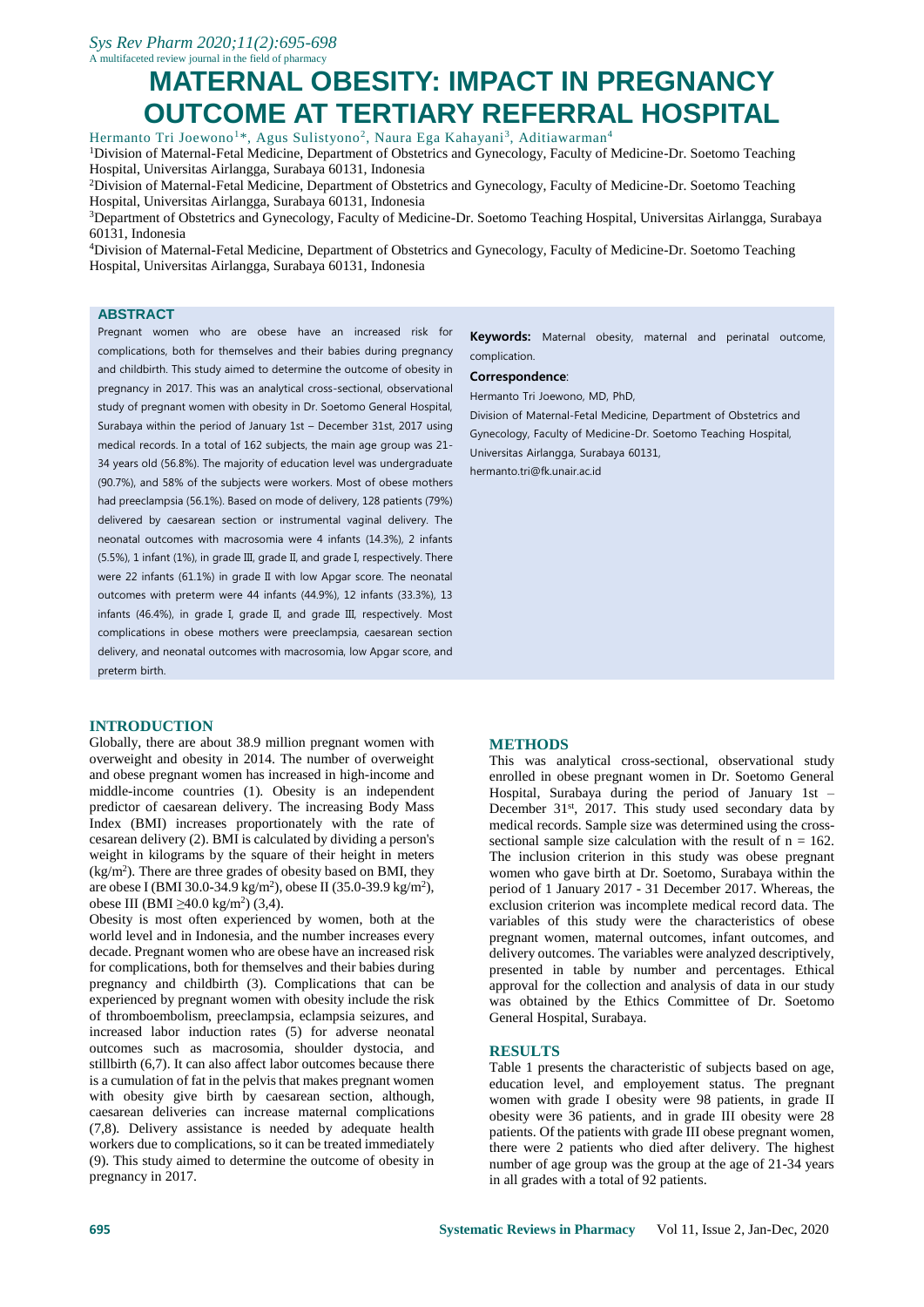# **MATERNAL OBESITY: IMPACT IN PREGNANCY OUTCOME AT TERTIARY REFERRAL HOSPITAL**

Hermanto Tri Joewono<sup>1\*</sup>, Agus Sulistyono<sup>2</sup>, Naura Ega Kahayani<sup>3</sup>, Aditiawarman<sup>4</sup> <sup>1</sup>Division of Maternal-Fetal Medicine, Department of Obstetrics and Gynecology, Faculty of Medicine-Dr. Soetomo Teaching Hospital, Universitas Airlangga, Surabaya 60131, Indonesia

<sup>2</sup>Division of Maternal-Fetal Medicine, Department of Obstetrics and Gynecology, Faculty of Medicine-Dr. Soetomo Teaching Hospital, Universitas Airlangga, Surabaya 60131, Indonesia

<sup>3</sup>Department of Obstetrics and Gynecology, Faculty of Medicine-Dr. Soetomo Teaching Hospital, Universitas Airlangga, Surabaya 60131, Indonesia

<sup>4</sup>Division of Maternal-Fetal Medicine, Department of Obstetrics and Gynecology, Faculty of Medicine-Dr. Soetomo Teaching Hospital, Universitas Airlangga, Surabaya 60131, Indonesia

## **ABSTRACT**

Pregnant women who are obese have an increased risk for complications, both for themselves and their babies during pregnancy and childbirth. This study aimed to determine the outcome of obesity in pregnancy in 2017. This was an analytical cross-sectional, observational study of pregnant women with obesity in Dr. Soetomo General Hospital, Surabaya within the period of January 1st – December 31st, 2017 using medical records. In a total of 162 subjects, the main age group was 21- 34 years old (56.8%). The majority of education level was undergraduate (90.7%), and 58% of the subjects were workers. Most of obese mothers had preeclampsia (56.1%). Based on mode of delivery, 128 patients (79%) delivered by caesarean section or instrumental vaginal delivery. The neonatal outcomes with macrosomia were 4 infants (14.3%), 2 infants (5.5%), 1 infant (1%), in grade III, grade II, and grade I, respectively. There were 22 infants (61.1%) in grade II with low Apgar score. The neonatal outcomes with preterm were 44 infants (44.9%), 12 infants (33.3%), 13 infants (46.4%), in grade I, grade II, and grade III, respectively. Most complications in obese mothers were preeclampsia, caesarean section delivery, and neonatal outcomes with macrosomia, low Apgar score, and preterm birth.

#### **INTRODUCTION**

Globally, there are about 38.9 million pregnant women with overweight and obesity in 2014. The number of overweight and obese pregnant women has increased in high-income and middle-income countries (1). Obesity is an independent predictor of caesarean delivery. The increasing Body Mass Index (BMI) increases proportionately with the rate of cesarean delivery (2). BMI is calculated by dividing a person's weight in kilograms by the square of their height in meters (kg/m<sup>2</sup> ). There are three grades of obesity based on BMI, they are obese I (BMI 30.0-34.9 kg/m<sup>2</sup>), obese II (35.0-39.9 kg/m<sup>2</sup>), obese III (BMI ≥40.0 kg/m<sup>2</sup>) (3,4).

Obesity is most often experienced by women, both at the world level and in Indonesia, and the number increases every decade. Pregnant women who are obese have an increased risk for complications, both for themselves and their babies during pregnancy and childbirth (3). Complications that can be experienced by pregnant women with obesity include the risk of thromboembolism, preeclampsia, eclampsia seizures, and increased labor induction rates (5) for adverse neonatal outcomes such as macrosomia, shoulder dystocia, and stillbirth (6,7). It can also affect labor outcomes because there is a cumulation of fat in the pelvis that makes pregnant women with obesity give birth by caesarean section, although, caesarean deliveries can increase maternal complications (7,8). Delivery assistance is needed by adequate health workers due to complications, so it can be treated immediately (9). This study aimed to determine the outcome of obesity in pregnancy in 2017.

**Keywords:** Maternal obesity, maternal and perinatal outcome, complication.

#### **Correspondence**:

Hermanto Tri Joewono, MD, PhD,

Division of Maternal-Fetal Medicine, Department of Obstetrics and Gynecology, Faculty of Medicine-Dr. Soetomo Teaching Hospital, Universitas Airlangga, Surabaya 60131, hermanto.tri@fk.unair.ac.id

## **METHODS**

This was analytical cross-sectional, observational study enrolled in obese pregnant women in Dr. Soetomo General Hospital, Surabaya during the period of January 1st – December 31<sup>st</sup>, 2017. This study used secondary data by medical records. Sample size was determined using the crosssectional sample size calculation with the result of  $n = 162$ . The inclusion criterion in this study was obese pregnant women who gave birth at Dr. Soetomo, Surabaya within the period of 1 January 2017 - 31 December 2017. Whereas, the exclusion criterion was incomplete medical record data. The variables of this study were the characteristics of obese pregnant women, maternal outcomes, infant outcomes, and delivery outcomes. The variables were analyzed descriptively, presented in table by number and percentages. Ethical approval for the collection and analysis of data in our study was obtained by the Ethics Committee of Dr. Soetomo General Hospital, Surabaya.

#### **RESULTS**

Table 1 presents the characteristic of subjects based on age, education level, and employement status. The pregnant women with grade I obesity were 98 patients, in grade II obesity were 36 patients, and in grade III obesity were 28 patients. Of the patients with grade III obese pregnant women, there were 2 patients who died after delivery. The highest number of age group was the group at the age of 21-34 years in all grades with a total of 92 patients.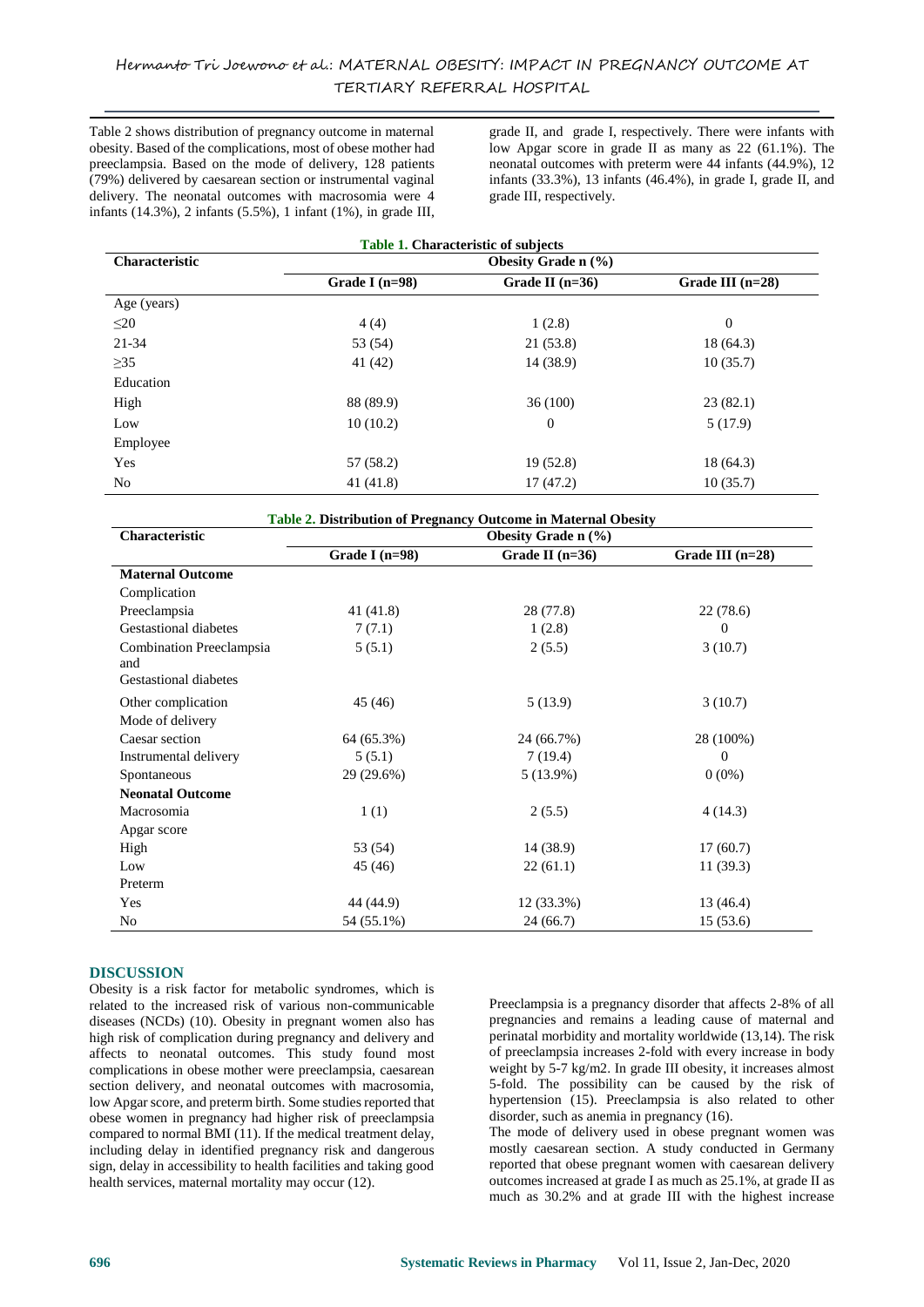Table 2 shows distribution of pregnancy outcome in maternal obesity. Based of the complications, most of obese mother had preeclampsia. Based on the mode of delivery, 128 patients (79%) delivered by caesarean section or instrumental vaginal delivery. The neonatal outcomes with macrosomia were 4 infants (14.3%), 2 infants (5.5%), 1 infant (1%), in grade III,

grade II, and grade I, respectively. There were infants with low Apgar score in grade II as many as 22 (61.1%). The neonatal outcomes with preterm were 44 infants (44.9%), 12 infants (33.3%), 13 infants (46.4%), in grade I, grade II, and grade III, respectively.

| <b>Table 1. Characteristic of subjects</b> |                            |                   |                    |  |
|--------------------------------------------|----------------------------|-------------------|--------------------|--|
| <b>Characteristic</b>                      | <b>Obesity Grade n</b> (%) |                   |                    |  |
|                                            | Grade I $(n=98)$           | Grade II $(n=36)$ | Grade III $(n=28)$ |  |
| Age (years)                                |                            |                   |                    |  |
| $\leq$ 20                                  | 4(4)                       | 1(2.8)            | $\overline{0}$     |  |
| 21-34                                      | 53 (54)                    | 21(53.8)          | 18 (64.3)          |  |
| $\geq$ 35                                  | 41 (42)                    | 14 (38.9)         | 10(35.7)           |  |
| Education                                  |                            |                   |                    |  |
| High                                       | 88 (89.9)                  | 36(100)           | 23(82.1)           |  |
| Low                                        | 10(10.2)                   | $\boldsymbol{0}$  | 5(17.9)            |  |
| Employee                                   |                            |                   |                    |  |
| Yes                                        | 57 (58.2)                  | 19(52.8)          | 18 (64.3)          |  |
| No                                         | 41 (41.8)                  | 17(47.2)          | 10(35.7)           |  |

| Table 2. Distribution of Pregnancy Outcome in Maternal Obesity |                     |                   |                    |  |
|----------------------------------------------------------------|---------------------|-------------------|--------------------|--|
| <b>Characteristic</b>                                          | Obesity Grade n (%) |                   |                    |  |
|                                                                | Grade I $(n=98)$    | Grade II $(n=36)$ | Grade III $(n=28)$ |  |
| <b>Maternal Outcome</b>                                        |                     |                   |                    |  |
| Complication                                                   |                     |                   |                    |  |
| Preeclampsia                                                   | 41 (41.8)           | 28 (77.8)         | 22(78.6)           |  |
| Gestastional diabetes                                          | 7(7.1)              | 1(2.8)            | 0                  |  |
| Combination Preeclampsia<br>and                                | 5(5.1)              | 2(5.5)            | 3(10.7)            |  |
| <b>Gestastional diabetes</b>                                   |                     |                   |                    |  |
| Other complication                                             | 45 (46)             | 5(13.9)           | 3(10.7)            |  |
| Mode of delivery                                               |                     |                   |                    |  |
| Caesar section                                                 | 64 (65.3%)          | 24 (66.7%)        | 28 (100%)          |  |
| Instrumental delivery                                          | 5(5.1)              | 7(19.4)           | 0                  |  |
| Spontaneous                                                    | 29 (29.6%)          | $5(13.9\%)$       | $0(0\%)$           |  |
| <b>Neonatal Outcome</b>                                        |                     |                   |                    |  |
| Macrosomia                                                     | 1(1)                | 2(5.5)            | 4(14.3)            |  |
| Apgar score                                                    |                     |                   |                    |  |
| High                                                           | 53 (54)             | 14 (38.9)         | 17(60.7)           |  |
| Low                                                            | 45 (46)             | 22(61.1)          | 11(39.3)           |  |
| Preterm                                                        |                     |                   |                    |  |
| Yes                                                            | 44 (44.9)           | 12 (33.3%)        | 13 (46.4)          |  |
| No                                                             | 54 (55.1%)          | 24(66.7)          | 15(53.6)           |  |

## **DISCUSSION**

Obesity is a risk factor for metabolic syndromes, which is related to the increased risk of various non-communicable diseases (NCDs) (10). Obesity in pregnant women also has high risk of complication during pregnancy and delivery and affects to neonatal outcomes. This study found most complications in obese mother were preeclampsia, caesarean section delivery, and neonatal outcomes with macrosomia, low Apgar score, and preterm birth. Some studies reported that obese women in pregnancy had higher risk of preeclampsia compared to normal BMI (11). If the medical treatment delay, including delay in identified pregnancy risk and dangerous sign, delay in accessibility to health facilities and taking good health services, maternal mortality may occur (12).

Preeclampsia is a pregnancy disorder that affects 2-8% of all pregnancies and remains a leading cause of maternal and perinatal morbidity and mortality worldwide (13,14). The risk of preeclampsia increases 2-fold with every increase in body weight by 5-7 kg/m2. In grade III obesity, it increases almost 5-fold. The possibility can be caused by the risk of hypertension (15). Preeclampsia is also related to other disorder, such as anemia in pregnancy (16).

The mode of delivery used in obese pregnant women was mostly caesarean section. A study conducted in Germany reported that obese pregnant women with caesarean delivery outcomes increased at grade I as much as 25.1%, at grade II as much as 30.2% and at grade III with the highest increase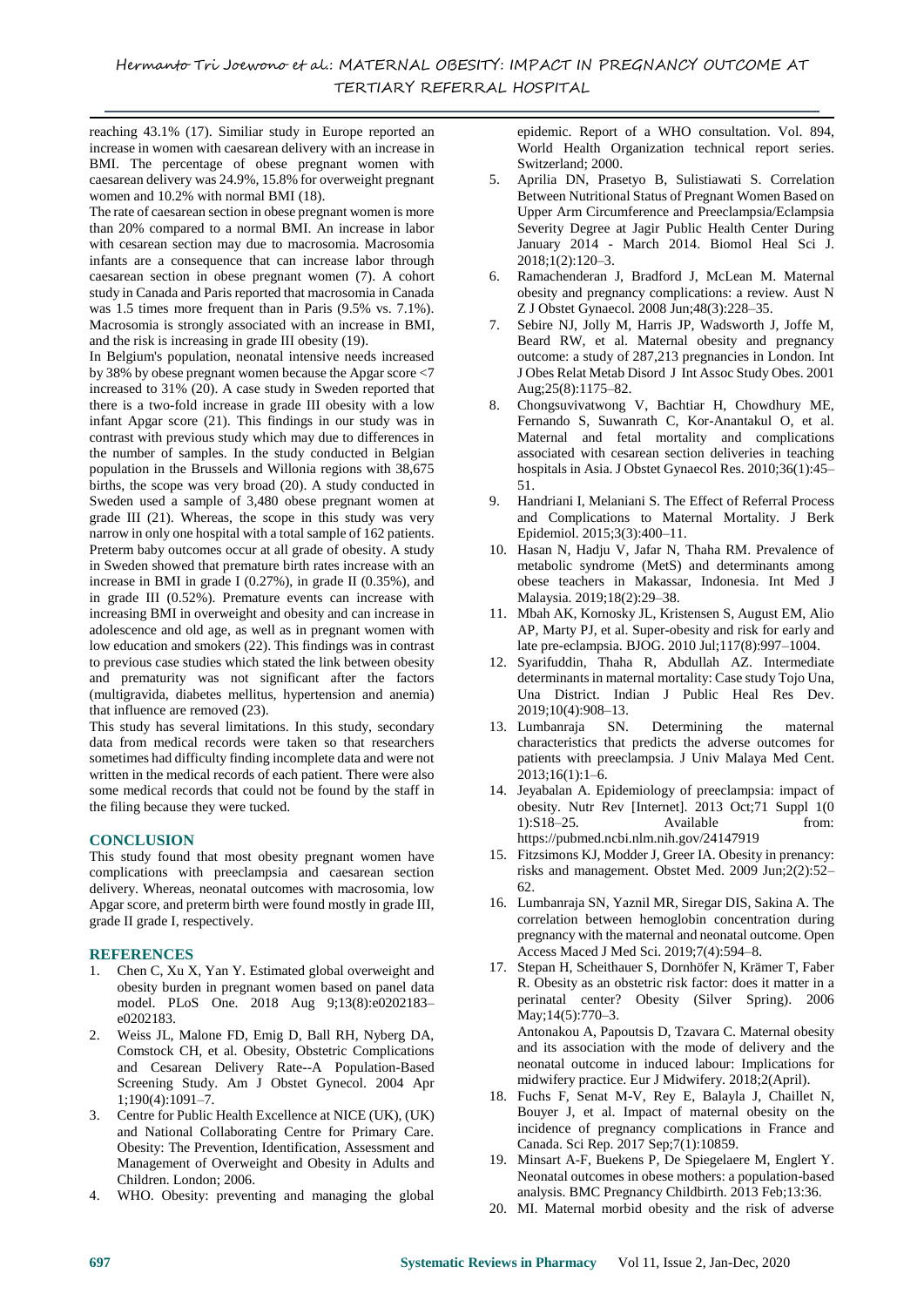reaching 43.1% (17). Similiar study in Europe reported an increase in women with caesarean delivery with an increase in BMI. The percentage of obese pregnant women with caesarean delivery was 24.9%, 15.8% for overweight pregnant women and 10.2% with normal BMI (18).

The rate of caesarean section in obese pregnant women is more than 20% compared to a normal BMI. An increase in labor with cesarean section may due to macrosomia. Macrosomia infants are a consequence that can increase labor through caesarean section in obese pregnant women (7). A cohort study in Canada and Paris reported that macrosomia in Canada was 1.5 times more frequent than in Paris (9.5% vs. 7.1%). Macrosomia is strongly associated with an increase in BMI, and the risk is increasing in grade III obesity (19).

In Belgium's population, neonatal intensive needs increased by 38% by obese pregnant women because the Apgar score <7 increased to 31% (20). A case study in Sweden reported that there is a two-fold increase in grade III obesity with a low infant Apgar score (21). This findings in our study was in contrast with previous study which may due to differences in the number of samples. In the study conducted in Belgian population in the Brussels and Willonia regions with 38,675 births, the scope was very broad (20). A study conducted in Sweden used a sample of 3,480 obese pregnant women at grade III (21). Whereas, the scope in this study was very narrow in only one hospital with a total sample of 162 patients. Preterm baby outcomes occur at all grade of obesity. A study in Sweden showed that premature birth rates increase with an increase in BMI in grade I (0.27%), in grade II (0.35%), and in grade III (0.52%). Premature events can increase with increasing BMI in overweight and obesity and can increase in adolescence and old age, as well as in pregnant women with low education and smokers (22). This findings was in contrast to previous case studies which stated the link between obesity and prematurity was not significant after the factors (multigravida, diabetes mellitus, hypertension and anemia) that influence are removed (23).

This study has several limitations. In this study, secondary data from medical records were taken so that researchers sometimes had difficulty finding incomplete data and were not written in the medical records of each patient. There were also some medical records that could not be found by the staff in the filing because they were tucked.

# **CONCLUSION**

This study found that most obesity pregnant women have complications with preeclampsia and caesarean section delivery. Whereas, neonatal outcomes with macrosomia, low Apgar score, and preterm birth were found mostly in grade III, grade II grade I, respectively.

## **REFERENCES**

- 1. Chen C, Xu X, Yan Y. Estimated global overweight and obesity burden in pregnant women based on panel data model. PLoS One. 2018 Aug 9;13(8):e0202183– e0202183.
- 2. Weiss JL, Malone FD, Emig D, Ball RH, Nyberg DA, Comstock CH, et al. Obesity, Obstetric Complications and Cesarean Delivery Rate--A Population-Based Screening Study. Am J Obstet Gynecol. 2004 Apr 1;190(4):1091–7.
- 3. Centre for Public Health Excellence at NICE (UK), (UK) and National Collaborating Centre for Primary Care. Obesity: The Prevention, Identification, Assessment and Management of Overweight and Obesity in Adults and Children. London; 2006.
- 4. WHO. Obesity: preventing and managing the global

epidemic. Report of a WHO consultation. Vol. 894, World Health Organization technical report series. Switzerland; 2000.

- 5. Aprilia DN, Prasetyo B, Sulistiawati S. Correlation Between Nutritional Status of Pregnant Women Based on Upper Arm Circumference and Preeclampsia/Eclampsia Severity Degree at Jagir Public Health Center During January 2014 - March 2014. Biomol Heal Sci J. 2018;1(2):120–3.
- 6. Ramachenderan J, Bradford J, McLean M. Maternal obesity and pregnancy complications: a review. Aust N Z J Obstet Gynaecol. 2008 Jun;48(3):228–35.
- 7. Sebire NJ, Jolly M, Harris JP, Wadsworth J, Joffe M, Beard RW, et al. Maternal obesity and pregnancy outcome: a study of 287,213 pregnancies in London. Int J Obes Relat Metab Disord J Int Assoc Study Obes. 2001 Aug;25(8):1175–82.
- 8. Chongsuvivatwong V, Bachtiar H, Chowdhury ME, Fernando S, Suwanrath C, Kor-Anantakul O, et al. Maternal and fetal mortality and complications associated with cesarean section deliveries in teaching hospitals in Asia. J Obstet Gynaecol Res. 2010;36(1):45– 51.
- 9. Handriani I, Melaniani S. The Effect of Referral Process and Complications to Maternal Mortality. J Berk Epidemiol. 2015;3(3):400–11.
- 10. Hasan N, Hadju V, Jafar N, Thaha RM. Prevalence of metabolic syndrome (MetS) and determinants among obese teachers in Makassar, Indonesia. Int Med J Malaysia. 2019;18(2):29–38.
- 11. Mbah AK, Kornosky JL, Kristensen S, August EM, Alio AP, Marty PJ, et al. Super-obesity and risk for early and late pre-eclampsia. BJOG. 2010 Jul;117(8):997–1004.
- 12. Syarifuddin, Thaha R, Abdullah AZ. Intermediate determinants in maternal mortality: Case study Tojo Una, Una District. Indian J Public Heal Res Dev. 2019;10(4):908–13.
- 13. Lumbanraja SN. Determining the maternal characteristics that predicts the adverse outcomes for patients with preeclampsia. J Univ Malaya Med Cent. 2013;16(1):1–6.
- 14. Jeyabalan A. Epidemiology of preeclampsia: impact of obesity. Nutr Rev [Internet]. 2013 Oct;71 Suppl 1(0 1):S18–25. Available from: https://pubmed.ncbi.nlm.nih.gov/24147919
- 15. Fitzsimons KJ, Modder J, Greer IA. Obesity in prenancy: risks and management. Obstet Med. 2009 Jun;2(2):52– 62.
- 16. Lumbanraja SN, Yaznil MR, Siregar DIS, Sakina A. The correlation between hemoglobin concentration during pregnancy with the maternal and neonatal outcome. Open Access Maced J Med Sci. 2019;7(4):594–8.
- 17. Stepan H, Scheithauer S, Dornhöfer N, Krämer T, Faber R. Obesity as an obstetric risk factor: does it matter in a perinatal center? Obesity (Silver Spring). 2006 May;14(5):770–3. Antonakou A, Papoutsis D, Tzavara C. Maternal obesity and its association with the mode of delivery and the neonatal outcome in induced labour: Implications for midwifery practice. Eur J Midwifery. 2018;2(April).
- 18. Fuchs F, Senat M-V, Rey E, Balayla J, Chaillet N, Bouyer J, et al. Impact of maternal obesity on the incidence of pregnancy complications in France and Canada. Sci Rep. 2017 Sep;7(1):10859.
- 19. Minsart A-F, Buekens P, De Spiegelaere M, Englert Y. Neonatal outcomes in obese mothers: a population-based analysis. BMC Pregnancy Childbirth. 2013 Feb;13:36.
- 20. MI. Maternal morbid obesity and the risk of adverse